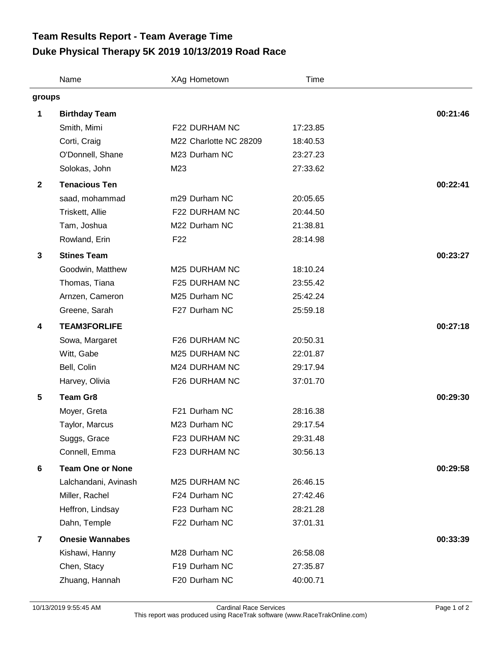## **Duke Physical Therapy 5K 2019 10/13/2019 Road Race Team Results Report - Team Average Time**

|                         | Name                    | XAg Hometown           | Time     |          |
|-------------------------|-------------------------|------------------------|----------|----------|
| groups                  |                         |                        |          |          |
| 1                       | <b>Birthday Team</b>    |                        |          | 00:21:46 |
|                         | Smith, Mimi             | F22 DURHAM NC          | 17:23.85 |          |
|                         | Corti, Craig            | M22 Charlotte NC 28209 | 18:40.53 |          |
|                         | O'Donnell, Shane        | M23 Durham NC          | 23:27.23 |          |
|                         | Solokas, John           | M23                    | 27:33.62 |          |
| $\mathbf{2}$            | <b>Tenacious Ten</b>    |                        |          | 00:22:41 |
|                         | saad, mohammad          | m29 Durham NC          | 20:05.65 |          |
|                         | Triskett, Allie         | F22 DURHAM NC          | 20:44.50 |          |
|                         | Tam, Joshua             | M22 Durham NC          | 21:38.81 |          |
|                         | Rowland, Erin           | F <sub>22</sub>        | 28:14.98 |          |
| $\mathbf{3}$            | <b>Stines Team</b>      |                        |          | 00:23:27 |
|                         | Goodwin, Matthew        | M25 DURHAM NC          | 18:10.24 |          |
|                         | Thomas, Tiana           | F25 DURHAM NC          | 23:55.42 |          |
|                         | Arnzen, Cameron         | M25 Durham NC          | 25:42.24 |          |
|                         | Greene, Sarah           | F27 Durham NC          | 25:59.18 |          |
| 4                       | <b>TEAM3FORLIFE</b>     |                        |          | 00:27:18 |
|                         | Sowa, Margaret          | F26 DURHAM NC          | 20:50.31 |          |
|                         | Witt, Gabe              | M25 DURHAM NC          | 22:01.87 |          |
|                         | Bell, Colin             | M24 DURHAM NC          | 29:17.94 |          |
|                         | Harvey, Olivia          | F26 DURHAM NC          | 37:01.70 |          |
| 5                       | <b>Team Gr8</b>         |                        |          | 00:29:30 |
|                         | Moyer, Greta            | F21 Durham NC          | 28:16.38 |          |
|                         | Taylor, Marcus          | M23 Durham NC          | 29:17.54 |          |
|                         | Suggs, Grace            | F23 DURHAM NC          | 29:31.48 |          |
|                         | Connell, Emma           | F23 DURHAM NC          | 30:56.13 |          |
| 6                       | <b>Team One or None</b> |                        |          | 00:29:58 |
|                         | Lalchandani, Avinash    | M25 DURHAM NC          | 26:46.15 |          |
|                         | Miller, Rachel          | F24 Durham NC          | 27:42.46 |          |
|                         | Heffron, Lindsay        | F23 Durham NC          | 28:21.28 |          |
|                         | Dahn, Temple            | F22 Durham NC          | 37:01.31 |          |
| $\overline{\mathbf{r}}$ | <b>Onesie Wannabes</b>  |                        |          | 00:33:39 |
|                         | Kishawi, Hanny          | M28 Durham NC          | 26:58.08 |          |
|                         | Chen, Stacy             | F19 Durham NC          | 27:35.87 |          |
|                         | Zhuang, Hannah          | F20 Durham NC          | 40:00.71 |          |